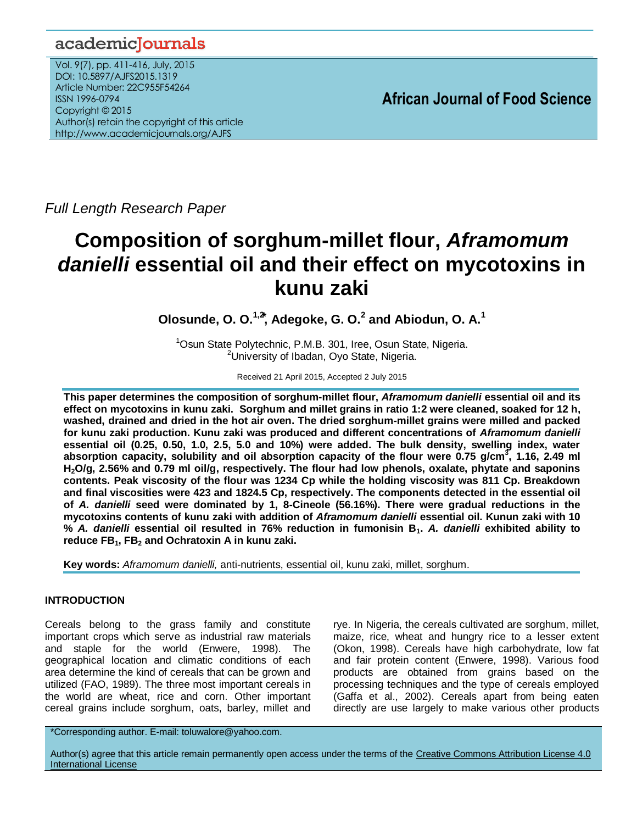# academicJournals

Vol. 9(7), pp. 411-416, July, 2015 DOI: 10.5897/AJFS2015.1319 Article Number: 22C955F54264 ISSN 1996-0794 Copyright © 2015 Author(s) retain the copyright of this article http://www.academicjournals.org/AJFS

*Full Length Research Paper*

# **Composition of sorghum-millet flour,** *Aframomum danielli* **essential oil and their effect on mycotoxins in kunu zaki**

**Olosunde, O. O.1,2 ⃰, Adegoke, G. O.<sup>2</sup> and Abiodun, O. A.<sup>1</sup>**

<sup>1</sup>Osun State Polytechnic, P.M.B. 301, Iree, Osun State, Nigeria. <sup>2</sup>University of Ibadan, Oyo State, Nigeria.

Received 21 April 2015, Accepted 2 July 2015

**This paper determines the composition of sorghum-millet flour,** *Aframomum danielli* **essential oil and its effect on mycotoxins in kunu zaki. Sorghum and millet grains in ratio 1:2 were cleaned, soaked for 12 h, washed, drained and dried in the hot air oven. The dried sorghum-millet grains were milled and packed for kunu zaki production. Kunu zaki was produced and different concentrations of** *Aframomum danielli*  **essential oil (0.25, 0.50, 1.0, 2.5, 5.0 and 10%) were added. The bulk density, swelling index, water absorption capacity, solubility and oil absorption capacity of the flour were 0.75 g/cm<sup>3</sup> , 1.16, 2.49 ml H2O/g, 2.56% and 0.79 ml oil/g, respectively. The flour had low phenols, oxalate, phytate and saponins contents. Peak viscosity of the flour was 1234 Cp while the holding viscosity was 811 Cp. Breakdown and final viscosities were 423 and 1824.5 Cp, respectively. The components detected in the essential oil of** *A. danielli* **seed were dominated by 1, 8-Cineole (56.16%). There were gradual reductions in the mycotoxins contents of kunu zaki with addition of** *Aframomum danielli* **essential oil. Kunun zaki with 10 %** *A. danielli* **essential oil resulted in 76% reduction in fumonisin B1.** *A. danielli* **exhibited ability to reduce FB1, FB<sup>2</sup> and Ochratoxin A in kunu zaki.**

**Key words:** *Aframomum danielli,* anti-nutrients, essential oil, kunu zaki, millet, sorghum.

# **INTRODUCTION**

Cereals belong to the grass family and constitute important crops which serve as industrial raw materials and staple for the world (Enwere, 1998). The geographical location and climatic conditions of each area determine the kind of cereals that can be grown and utilized (FAO, 1989). The three most important cereals in the world are wheat, rice and corn. Other important cereal grains include sorghum, oats, barley, millet and

rye. In Nigeria, the cereals cultivated are sorghum, millet, maize, rice, wheat and hungry rice to a lesser extent (Okon, 1998). Cereals have high carbohydrate, low fat and fair protein content (Enwere, 1998). Various food products are obtained from grains based on the processing techniques and the type of cereals employed (Gaffa et al., 2002). Cereals apart from being eaten directly are use largely to make various other products

\*Corresponding author. E-mail: toluwalore@yahoo.com.

Author(s) agree that this article remain permanently open access under the terms of the Creative Commons Attribution License 4.0 [International License](http://creativecommons.org/licenses/by/4.0/deed.en_US)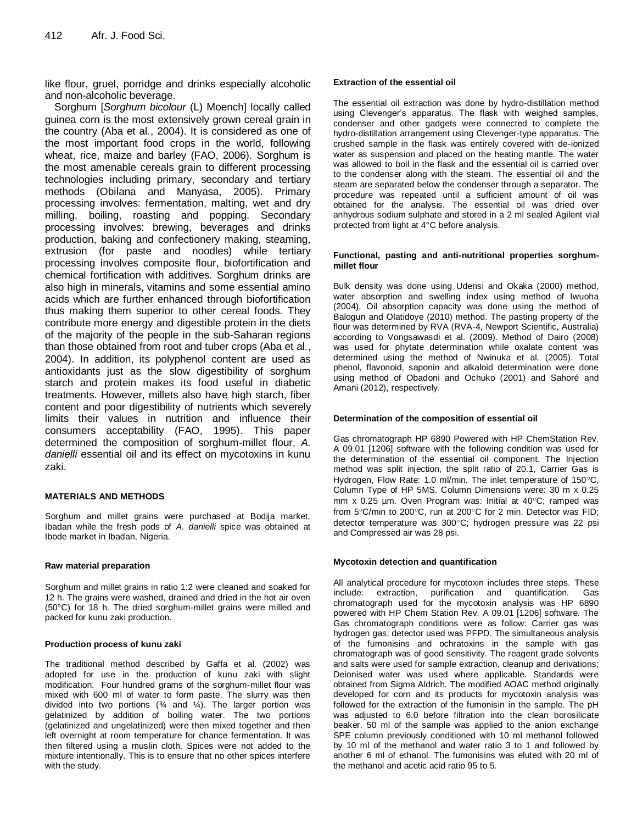like flour, gruel, porridge and drinks especially alcoholic and non-alcoholic beverage.

Sorghum [*Sorghum bicolour* (L) Moench] locally called guinea corn is the most extensively grown cereal grain in the country (Aba et al*.*, 2004). It is considered as one of the most important food crops in the world, following wheat, rice, maize and barley (FAO, 2006). Sorghum is the most amenable cereals grain to different processing technologies including primary, secondary and tertiary methods (Obilana and Manyasa, 2005). Primary processing involves: fermentation, malting, wet and dry milling, boiling, roasting and popping. Secondary processing involves: brewing, beverages and drinks production, baking and confectionery making, steaming, extrusion (for paste and noodles) while tertiary processing involves composite flour, biofortification and chemical fortification with additives. Sorghum drinks are also high in minerals, vitamins and some essential amino acids which are further enhanced through biofortification thus making them superior to other cereal foods. They contribute more energy and digestible protein in the diets of the majority of the people in the sub-Saharan regions than those obtained from root and tuber crops (Aba et al*.*, 2004). In addition, its polyphenol content are used as antioxidants just as the slow digestibility of sorghum starch and protein makes its food useful in diabetic treatments. However, millets also have high starch, fiber content and poor digestibility of nutrients which severely limits their values in nutrition and influence their consumers acceptability (FAO, 1995). This paper determined the composition of sorghum-millet flour, *A. danielli* essential oil and its effect on mycotoxins in kunu zaki.

## **MATERIALS AND METHODS**

Sorghum and millet grains were purchased at Bodija market, Ibadan while the fresh pods of *A. danielli* spice was obtained at Ibode market in Ibadan, Nigeria.

#### **Raw material preparation**

Sorghum and millet grains in ratio 1:2 were cleaned and soaked for 12 h. The grains were washed, drained and dried in the hot air oven (50°C) for 18 h. The dried sorghum-millet grains were milled and packed for kunu zaki production.

#### **Production process of kunu zaki**

The traditional method described by Gaffa et al. (2002) was adopted for use in the production of kunu zaki with slight modification. Four hundred grams of the sorghum-millet flour was mixed with 600 ml of water to form paste. The slurry was then divided into two portions  $(%)$  and  $//$ ). The larger portion was gelatinized by addition of boiling water. The two portions (gelatinized and ungelatinized) were then mixed together and then left overnight at room temperature for chance fermentation. It was then filtered using a muslin cloth. Spices were not added to the mixture intentionally. This is to ensure that no other spices interfere with the study.

#### **Extraction of the essential oil**

The essential oil extraction was done by hydro-distillation method using Clevenger's apparatus. The flask with weighed samples, condenser and other gadgets were connected to complete the hydro-distillation arrangement using Clevenger-type apparatus. The crushed sample in the flask was entirely covered with de-ionized water as suspension and placed on the heating mantle. The water was allowed to boil in the flask and the essential oil is carried over to the condenser along with the steam. The essential oil and the steam are separated below the condenser through a separator. The procedure was repeated until a sufficient amount of oil was obtained for the analysis. The essential oil was dried over anhydrous sodium sulphate and stored in a 2 ml sealed Agilent vial protected from light at 4°C before analysis.

#### **Functional, pasting and anti-nutritional properties sorghummillet flour**

Bulk density was done using Udensi and Okaka (2000) method, water absorption and swelling index using method of Iwuoha (2004). Oil absorption capacity was done using the method of Balogun and Olatidoye (2010) method. The pasting property of the flour was determined by RVA (RVA-4, Newport Scientific, Australia) according to Vongsawasdi et al. (2009). Method of Dairo (2008) was used for phytate determination while oxalate content was determined using the method of Nwinuka et al. (2005). Total phenol, flavonoid, saponin and alkaloid determination were done using method of Obadoni and Ochuko (2001) and Sahoré and Amani (2012), respectively.

#### **Determination of the composition of essential oil**

Gas chromatograph HP 6890 Powered with HP ChemStation Rev. A 09.01 [1206] software with the following condition was used for the determination of the essential oil component. The Injection method was split injection, the split ratio of 20.1, Carrier Gas is Hydrogen, Flow Rate: 1.0 ml/min. The inlet temperature of 150°C, Column Type of HP 5MS. Column Dimensions were: 30 m x 0.25 mm  $x$  0.25  $\mu$ m. Oven Program was: Initial at 40 $\degree$ C; ramped was from 5°C/min to 200°C, run at 200°C for 2 min. Detector was FID; detector temperature was 300°C; hydrogen pressure was 22 psi and Compressed air was 28 psi.

#### **Mycotoxin detection and quantification**

All analytical procedure for mycotoxin includes three steps. These include: extraction, purification and quantification. Gas chromatograph used for the mycotoxin analysis was HP 6890 powered with HP Chem Station Rev. A 09.01 [1206] software. The Gas chromatograph conditions were as follow: Carrier gas was hydrogen gas; detector used was PFPD. The simultaneous analysis of the fumonisins and ochratoxins in the sample with gas chromatograph was of good sensitivity. The reagent grade solvents and salts were used for sample extraction, cleanup and derivations; Deionised water was used where applicable. Standards were obtained from Sigma Aldrich. The modified AOAC method originally developed for corn and its products for mycotoxin analysis was followed for the extraction of the fumonisin in the sample. The pH was adjusted to 6.0 before filtration into the clean borosilicate beaker. 50 ml of the sample was applied to the anion exchange SPE column previously conditioned with 10 ml methanol followed by 10 ml of the methanol and water ratio 3 to 1 and followed by another 6 ml of ethanol. The fumonisins was eluted with 20 ml of the methanol and acetic acid ratio 95 to 5.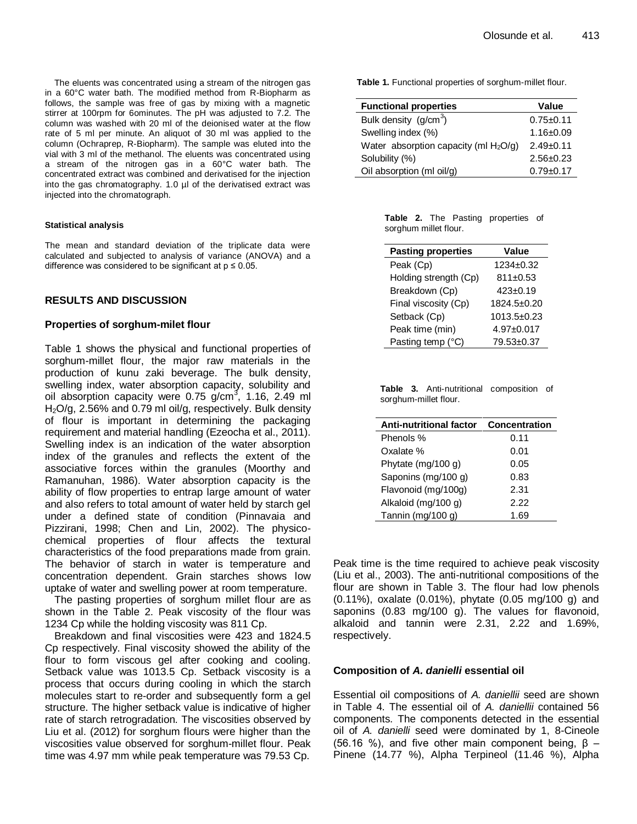The eluents was concentrated using a stream of the nitrogen gas in a 60°C water bath. The modified method from R-Biopharm as follows, the sample was free of gas by mixing with a magnetic stirrer at 100rpm for 6ominutes. The pH was adjusted to 7.2. The column was washed with 20 ml of the deionised water at the flow rate of 5 ml per minute. An aliquot of 30 ml was applied to the column (Ochraprep, R-Biopharm). The sample was eluted into the vial with 3 ml of the methanol. The eluents was concentrated using a stream of the nitrogen gas in a 60°C water bath. The concentrated extract was combined and derivatised for the injection into the gas chromatography. 1.0 µl of the derivatised extract was injected into the chromatograph.

## **Statistical analysis**

The mean and standard deviation of the triplicate data were calculated and subjected to analysis of variance (ANOVA) and a difference was considered to be significant at  $p \le 0.05$ .

# **RESULTS AND DISCUSSION**

## **Properties of sorghum-milet flour**

Table 1 shows the physical and functional properties of sorghum-millet flour, the major raw materials in the production of kunu zaki beverage. The bulk density, swelling index, water absorption capacity, solubility and oil absorption capacity were  $0.75$  g/cm<sup>3</sup>, 1.16, 2.49 ml  $H<sub>2</sub>O/q$ , 2.56% and 0.79 ml oil/g, respectively. Bulk density of flour is important in determining the packaging requirement and material handling (Ezeocha et al., 2011). Swelling index is an indication of the water absorption index of the granules and reflects the extent of the associative forces within the granules (Moorthy and Ramanuhan, 1986). Water absorption capacity is the ability of flow properties to entrap large amount of water and also refers to total amount of water held by starch gel under a defined state of condition (Pinnavaia and Pizzirani, 1998; Chen and Lin, 2002). The physicochemical properties of flour affects the textural characteristics of the food preparations made from grain. The behavior of starch in water is temperature and concentration dependent. Grain starches shows low uptake of water and swelling power at room temperature.

The pasting properties of sorghum millet flour are as shown in the Table 2. Peak viscosity of the flour was 1234 Cp while the holding viscosity was 811 Cp.

Breakdown and final viscosities were 423 and 1824.5 Cp respectively. Final viscosity showed the ability of the flour to form viscous gel after cooking and cooling. Setback value was 1013.5 Cp. Setback viscosity is a process that occurs during cooling in which the starch molecules start to re-order and subsequently form a gel structure. The higher setback value is indicative of higher rate of starch retrogradation. The viscosities observed by Liu et al. (2012) for sorghum flours were higher than the viscosities value observed for sorghum-millet flour. Peak time was 4.97 mm while peak temperature was 79.53 Cp.

**Table 1.** Functional properties of sorghum-millet flour.

| <b>Functional properties</b>              | Value           |
|-------------------------------------------|-----------------|
| Bulk density $(g/cm^3)$                   | $0.75 + 0.11$   |
| Swelling index (%)                        | $1.16 \pm 0.09$ |
| Water absorption capacity (ml $H_2O(q)$ ) | $2.49+0.11$     |
| Solubility (%)                            | $2.56 \pm 0.23$ |
| Oil absorption (ml oil/g)                 | $0.79 + 0.17$   |

|                       |  | <b>Table 2.</b> The Pasting properties of |  |
|-----------------------|--|-------------------------------------------|--|
| sorghum millet flour. |  |                                           |  |

| <b>Pasting properties</b> | Value             |
|---------------------------|-------------------|
| Peak (Cp)                 | $1234+0.32$       |
| Holding strength (Cp)     | 811±0.53          |
| Breakdown (Cp)            | $423 \pm 0.19$    |
| Final viscosity (Cp)      | 1824.5±0.20       |
| Setback (Cp)              | $1013.5 \pm 0.23$ |
| Peak time (min)           | 4.97±0.017        |
| Pasting temp (°C)         | 79.53±0.37        |

**Table 3.** Anti-nutritional composition of sorghum-millet flour.

| <b>Anti-nutritional factor</b> | Concentration |
|--------------------------------|---------------|
| Phenols %                      | 0.11          |
| Oxalate %                      | 0.01          |
| Phytate (mg/100 g)             | 0.05          |
| Saponins (mg/100 g)            | 0.83          |
| Flavonoid (mg/100g)            | 2.31          |
| Alkaloid (mg/100 g)            | 2.22          |
| Tannin (mg/100 g)              | 1.69          |

Peak time is the time required to achieve peak viscosity (Liu et al., 2003). The anti-nutritional compositions of the flour are shown in Table 3. The flour had low phenols (0.11%), oxalate (0.01%), phytate (0.05 mg/100 g) and saponins (0.83 mg/100 g). The values for flavonoid, alkaloid and tannin were 2.31, 2.22 and 1.69%, respectively.

# **Composition of** *A. danielli* **essential oil**

Essential oil compositions of *A. daniellii* seed are shown in Table 4. The essential oil of *A. daniellii* contained 56 components. The components detected in the essential oil of *A. danielli* seed were dominated by 1, 8-Cineole (56.16 %), and five other main component being,  $\beta$  – Pinene (14.77 %), Alpha Terpineol (11.46 %), Alpha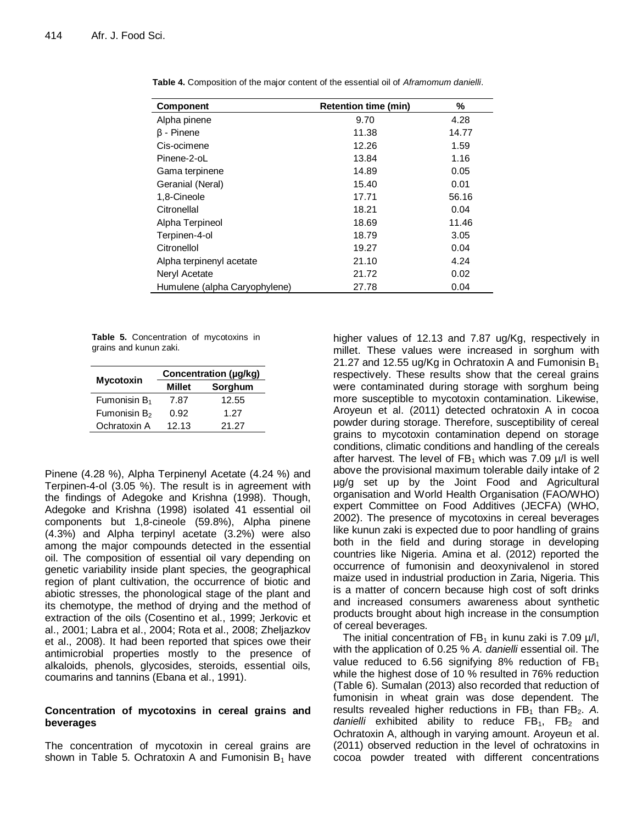| <b>Component</b>              | <b>Retention time (min)</b> | %     |
|-------------------------------|-----------------------------|-------|
| Alpha pinene                  | 9.70                        | 4.28  |
| $\beta$ - Pinene              | 11.38                       | 14.77 |
| Cis-ocimene                   | 12.26                       | 1.59  |
| Pinene-2-oL                   | 13.84                       | 1.16  |
| Gama terpinene                | 14.89                       | 0.05  |
| Geranial (Neral)              | 15.40                       | 0.01  |
| 1,8-Cineole                   | 17.71                       | 56.16 |
| Citronellal                   | 18.21                       | 0.04  |
| Alpha Terpineol               | 18.69                       | 11.46 |
| Terpinen-4-ol                 | 18.79                       | 3.05  |
| Citronellol                   | 19.27                       | 0.04  |
| Alpha terpinenyl acetate      | 21.10                       | 4.24  |
| Neryl Acetate                 | 21.72                       | 0.02  |
| Humulene (alpha Caryophylene) | 27.78                       | 0.04  |

**Table 4.** Composition of the major content of the essential oil of *Aframomum danielli*.

**Table 5.** Concentration of mycotoxins in grains and kunun zaki.

|                          | Concentration (µg/kg) |         |  |
|--------------------------|-----------------------|---------|--|
| <b>Mycotoxin</b>         | Millet                | Sorghum |  |
| Fumonisin B <sub>1</sub> | 7.87                  | 12.55   |  |
| Fumonisin B <sub>2</sub> | 0.92                  | 1.27    |  |
| Ochratoxin A             | 12.13                 | 21.27   |  |

Pinene (4.28 %), Alpha Terpinenyl Acetate (4.24 %) and Terpinen-4-ol (3.05 %). The result is in agreement with the findings of Adegoke and Krishna (1998). Though, Adegoke and Krishna (1998) isolated 41 essential oil components but 1,8-cineole (59.8%), Alpha pinene (4.3%) and Alpha terpinyl acetate (3.2%) were also among the major compounds detected in the essential oil. The composition of essential oil vary depending on genetic variability inside plant species, the geographical region of plant cultivation, the occurrence of biotic and abiotic stresses, the phonological stage of the plant and its chemotype, the method of drying and the method of extraction of the oils (Cosentino et al., 1999; Jerkovic et al., 2001; Labra et al., 2004; Rota et al., 2008; Zheljazkov et al., 2008). It had been reported that spices owe their antimicrobial properties mostly to the presence of alkaloids, phenols, glycosides, steroids, essential oils, coumarins and tannins (Ebana et al., 1991).

# **Concentration of mycotoxins in cereal grains and beverages**

The concentration of mycotoxin in cereal grains are shown in Table 5. Ochratoxin A and Fumonisin  $B_1$  have higher values of 12.13 and 7.87 ug/Kg, respectively in millet. These values were increased in sorghum with 21.27 and 12.55 ug/Kg in Ochratoxin A and Fumonisin  $B_1$ respectively. These results show that the cereal grains were contaminated during storage with sorghum being more susceptible to mycotoxin contamination. Likewise, Aroyeun et al. (2011) detected ochratoxin A in cocoa powder during storage. Therefore, susceptibility of cereal grains to mycotoxin contamination depend on storage conditions, climatic conditions and handling of the cereals after harvest. The level of  $FB_1$  which was 7.09  $\mu$ /l is well above the provisional maximum tolerable daily intake of 2 µg/g set up by the Joint Food and Agricultural organisation and World Health Organisation (FAO/WHO) expert Committee on Food Additives (JECFA) (WHO, 2002). The presence of mycotoxins in cereal beverages like kunun zaki is expected due to poor handling of grains both in the field and during storage in developing countries like Nigeria. Amina et al. (2012) reported the occurrence of fumonisin and deoxynivalenol in stored maize used in industrial production in Zaria, Nigeria. This is a matter of concern because high cost of soft drinks and increased consumers awareness about synthetic products brought about high increase in the consumption of cereal beverages.

The initial concentration of  $FB<sub>1</sub>$  in kunu zaki is 7.09  $\mu$ /l, with the application of 0.25 % *A. danielli* essential oil. The value reduced to 6.56 signifying 8% reduction of  $FB<sub>1</sub>$ while the highest dose of 10 % resulted in 76% reduction (Table 6). Sumalan (2013) also recorded that reduction of fumonisin in wheat grain was dose dependent. The results revealed higher reductions in FB<sub>1</sub> than FB<sub>2</sub>. A. *danielli* exhibited ability to reduce  $FB_1$ ,  $FB_2$  and Ochratoxin A, although in varying amount. Aroyeun et al. (2011) observed reduction in the level of ochratoxins in cocoa powder treated with different concentrations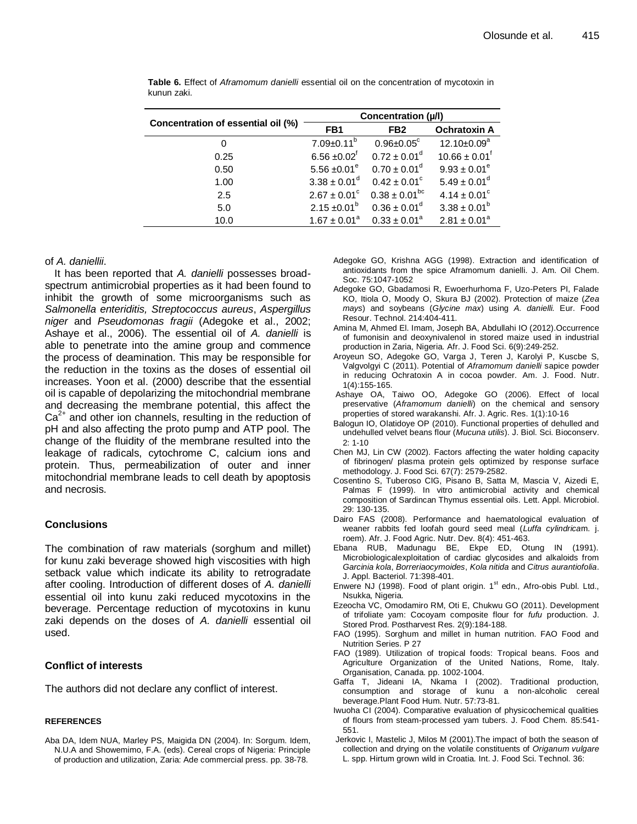|                                    | Concentration (µ/l)          |                              |                              |
|------------------------------------|------------------------------|------------------------------|------------------------------|
| Concentration of essential oil (%) | FB <sub>1</sub>              | FB <sub>2</sub>              | <b>Ochratoxin A</b>          |
| 0                                  | $7.09 \pm 0.11^b$            | $0.96 \pm 0.05$ <sup>c</sup> | $12.10 \pm 0.09^a$           |
| 0.25                               | $6.56 \pm 0.02$ <sup>f</sup> | $0.72 \pm 0.01^d$            | $10.66 \pm 0.01^{\dagger}$   |
| 0.50                               | 5.56 $\pm 0.01^e$            | $0.70 \pm 0.01^d$            | $9.93 \pm 0.01^e$            |
| 1.00                               | $3.38 \pm 0.01^d$            | $0.42 \pm 0.01^{\circ}$      | $5.49 \pm 0.01^d$            |
| 2.5                                | $2.67 \pm 0.01$ <sup>c</sup> | $0.38 \pm 0.01^{bc}$         | $4.14 \pm 0.01$ <sup>c</sup> |
| 5.0                                | $2.15 \pm 0.01^b$            | $0.36 \pm 0.01^d$            | $3.38 \pm 0.01^b$            |
| 10.0                               | $1.67 \pm 0.01^a$            | $0.33 \pm 0.01^a$            | $2.81 \pm 0.01^a$            |

**Table 6.** Effect of *Aframomum danielli* essential oil on the concentration of mycotoxin in kunun zaki.

## of *A. daniellii*.

It has been reported that *A. danielli* possesses broadspectrum antimicrobial properties as it had been found to inhibit the growth of some microorganisms such as *Salmonella enteriditis, Streptococcus aureus*, *Aspergillus niger* and *Pseudomonas fragii* (Adegoke et al., 2002; Ashaye et al., 2006). The essential oil of *A. danielli* is able to penetrate into the amine group and commence the process of deamination. This may be responsible for the reduction in the toxins as the doses of essential oil increases. Yoon et al. (2000) describe that the essential oil is capable of depolarizing the mitochondrial membrane and decreasing the membrane potential, this affect the  $Ca<sup>2+</sup>$  and other ion channels, resulting in the reduction of pH and also affecting the proto pump and ATP pool. The change of the fluidity of the membrane resulted into the leakage of radicals, cytochrome C, calcium ions and protein. Thus, permeabilization of outer and inner mitochondrial membrane leads to cell death by apoptosis and necrosis.

## **Conclusions**

The combination of raw materials (sorghum and millet) for kunu zaki beverage showed high viscosities with high setback value which indicate its ability to retrogradate after cooling. Introduction of different doses of *A. danielli* essential oil into kunu zaki reduced mycotoxins in the beverage. Percentage reduction of mycotoxins in kunu zaki depends on the doses of *A. danielli* essential oil used.

# **Conflict of interests**

The authors did not declare any conflict of interest.

#### **REFERENCES**

Aba DA, Idem NUA, Marley PS, Maigida DN (2004). In: Sorgum. Idem, N.U.A and Showemimo, F.A. (eds). Cereal crops of Nigeria: Principle of production and utilization, Zaria: Ade commercial press. pp. 38-78.

- Adegoke GO, Krishna AGG (1998). Extraction and identification of antioxidants from the spice Aframomum danielli. J. Am. Oil Chem. Soc. 75:1047-1052
- Adegoke GO, Gbadamosi R, Ewoerhurhoma F, Uzo-Peters PI, Falade KO, Itiola O, Moody O, Skura BJ (2002). Protection of maize (*Zea mays*) and soybeans (*Glycine max*) using *A. danielli.* Eur. Food Resour. Technol. 214:404-411.
- Amina M, Ahmed El. Imam, Joseph BA, Abdullahi IO (2012).Occurrence of fumonisin and deoxynivalenol in stored maize used in industrial production in Zaria, Nigeria. Afr. J. Food Sci. 6(9):249-252.
- Aroyeun SO, Adegoke GO, Varga J, Teren J, Karolyi P, Kuscbe S, Valgvolgyi C (2011). Potential of *Aframomum danielli* sapice powder in reducing Ochratoxin A in cocoa powder. Am. J. Food. Nutr. 1(4):155-165.
- Ashaye OA, Taiwo OO, Adegoke GO (2006). Effect of local preservative (*Aframomum danielli*) on the chemical and sensory properties of stored warakanshi. Afr. J. Agric. Res. 1(1):10-16
- Balogun IO, Olatidoye OP (2010). Functional properties of dehulled and undehulled velvet beans flour (*Mucuna utilis*). J. Biol. Sci. Bioconserv. 2: 1-10
- Chen MJ, Lin CW (2002). Factors affecting the water holding capacity of fibrinogen/ plasma protein gels optimized by response surface methodology. J. Food Sci. 67(7): 2579-2582.
- Cosentino S, Tuberoso CIG, Pisano B, Satta M, Mascia V, Aizedi E, Palmas F (1999). In vitro antimicrobial activity and chemical composition of Sardincan Thymus essential oils. Lett. Appl. Microbiol. 29: 130-135.
- Dairo FAS (2008). Performance and haematological evaluation of weaner rabbits fed loofah gourd seed meal (*Luffa cylindrica*m. j. roem). Afr. J. Food Agric. Nutr. Dev. 8(4): 451-463.
- Ebana RUB, Madunagu BE, Ekpe ED, Otung IN (1991). Microbiologicalexploitation of cardiac glycosides and alkaloids from *Garcinia kola*, *Borreriaocymoides*, *Kola nitida* and *Citrus aurantiofolia*. J. Appl. Bacteriol. 71:398-401.
- Enwere NJ (1998). Food of plant origin.  $1<sup>st</sup>$  edn., Afro-obis Publ. Ltd., Nsukka, Nigeria.
- Ezeocha VC, Omodamiro RM, Oti E, Chukwu GO (2011). Development of trifoliate yam: Cocoyam composite flour for *fufu* production. J. Stored Prod. Postharvest Res. 2(9):184-188.
- FAO (1995). Sorghum and millet in human nutrition. FAO Food and Nutrition Series. P 27
- FAO (1989). Utilization of tropical foods: Tropical beans. Foos and Agriculture Organization of the United Nations, Rome, Italy. Organisation, Canada. pp. 1002-1004.
- Gaffa T, Jideani IA, Nkama I (2002). Traditional production, consumption and storage of kunu a non-alcoholic cereal beverage.Plant Food Hum. Nutr. 57:73-81.
- Iwuoha CI (2004). Comparative evaluation of physicochemical qualities of flours from steam-processed yam tubers. J. Food Chem. 85:541- 551.
- Jerkovic I, Mastelic J, Milos M (2001).The impact of both the season of collection and drying on the volatile constituents of *Origanum vulgare*  L. spp. Hirtum grown wild in Croatia. Int. J. Food Sci. Technol. 36: